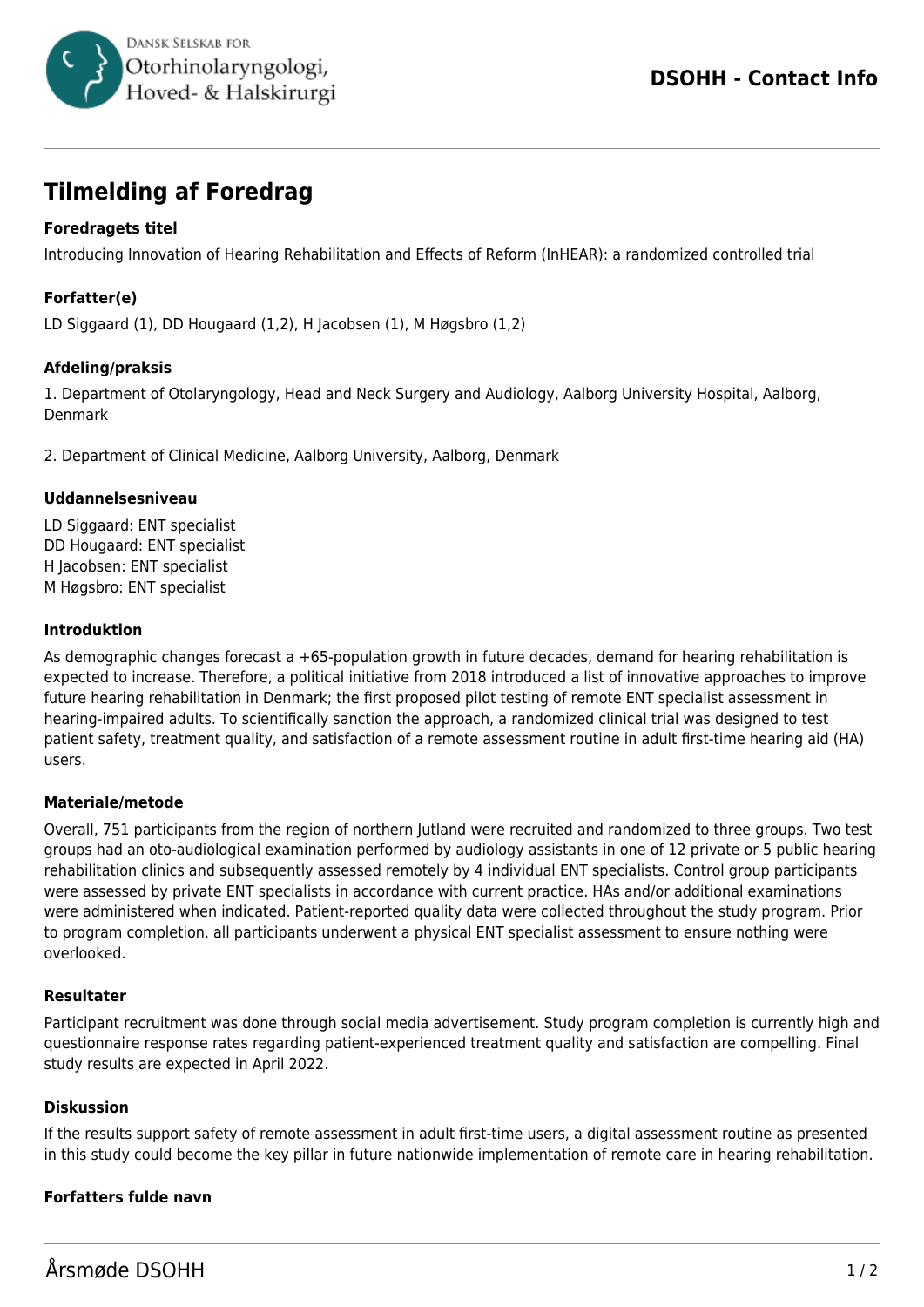

# **Tilmelding af Foredrag**

## **Foredragets titel**

Introducing Innovation of Hearing Rehabilitation and Effects of Reform (InHEAR): a randomized controlled trial

## **Forfatter(e)**

LD Siggaard (1), DD Hougaard (1,2), H Jacobsen (1), M Høgsbro (1,2)

### **Afdeling/praksis**

1. Department of Otolaryngology, Head and Neck Surgery and Audiology, Aalborg University Hospital, Aalborg, Denmark

2. Department of Clinical Medicine, Aalborg University, Aalborg, Denmark

#### **Uddannelsesniveau**

LD Siggaard: ENT specialist DD Hougaard: ENT specialist H Jacobsen: ENT specialist M Høgsbro: ENT specialist

#### **Introduktion**

As demographic changes forecast a +65-population growth in future decades, demand for hearing rehabilitation is expected to increase. Therefore, a political initiative from 2018 introduced a list of innovative approaches to improve future hearing rehabilitation in Denmark; the first proposed pilot testing of remote ENT specialist assessment in hearing-impaired adults. To scientifically sanction the approach, a randomized clinical trial was designed to test patient safety, treatment quality, and satisfaction of a remote assessment routine in adult first-time hearing aid (HA) users.

#### **Materiale/metode**

Overall, 751 participants from the region of northern Jutland were recruited and randomized to three groups. Two test groups had an oto-audiological examination performed by audiology assistants in one of 12 private or 5 public hearing rehabilitation clinics and subsequently assessed remotely by 4 individual ENT specialists. Control group participants were assessed by private ENT specialists in accordance with current practice. HAs and/or additional examinations were administered when indicated. Patient-reported quality data were collected throughout the study program. Prior to program completion, all participants underwent a physical ENT specialist assessment to ensure nothing were overlooked.

#### **Resultater**

Participant recruitment was done through social media advertisement. Study program completion is currently high and questionnaire response rates regarding patient-experienced treatment quality and satisfaction are compelling. Final study results are expected in April 2022.

#### **Diskussion**

If the results support safety of remote assessment in adult first-time users, a digital assessment routine as presented in this study could become the key pillar in future nationwide implementation of remote care in hearing rehabilitation.

#### **Forfatters fulde navn**